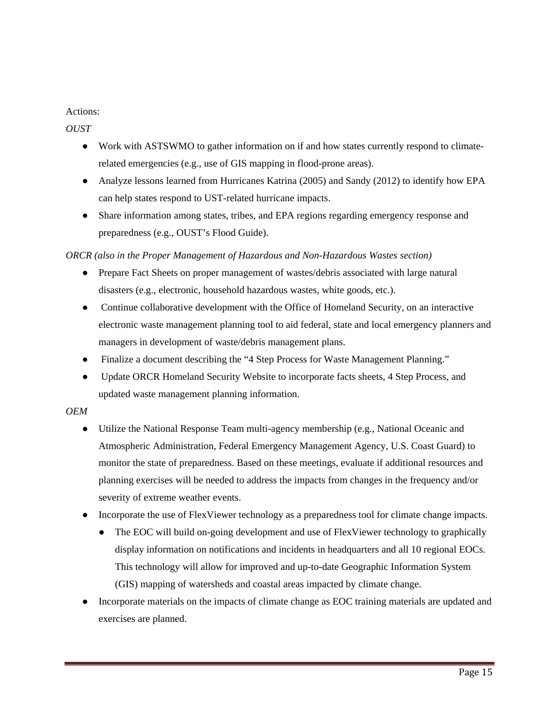### Actions:

#### *OUST*

- Work with ASTSWMO to gather information on if and how states currently respond to climaterelated emergencies (e.g., use of GIS mapping in flood-prone areas).
- Analyze lessons learned from Hurricanes Katrina (2005) and Sandy (2012) to identify how EPA can help states respond to UST-related hurricane impacts.
- ● Share information among states, tribes, and EPA regions regarding emergency response and preparedness (e.g., OUST's Flood Guide).

#### *ORCR (also in the Proper Management of Hazardous and Non-Hazardous Wastes section)*

- Prepare Fact Sheets on proper management of wastes/debris associated with large natural disasters (e.g., electronic, household hazardous wastes, white goods, etc.).
- Continue collaborative development with the Office of Homeland Security, on an interactive electronic waste management planning tool to aid federal, state and local emergency planners and managers in development of waste/debris management plans.
- Finalize a document describing the "4 Step Process for Waste Management Planning."
- Update ORCR Homeland Security Website to incorporate facts sheets, 4 Step Process, and updated waste management planning information.

#### *OEM*

- ● Utilize the National Response Team multi-agency membership (e.g., National Oceanic and Atmospheric Administration, Federal Emergency Management Agency, U.S. Coast Guard) to monitor the state of preparedness. Based on these meetings, evaluate if additional resources and planning exercises will be needed to address the impacts from changes in the frequency and/or severity of extreme weather events.
- Incorporate the use of FlexViewer technology as a preparedness tool for climate change impacts.
	- The EOC will build on-going development and use of FlexViewer technology to graphically display information on notifications and incidents in headquarters and all 10 regional EOCs. This technology will allow for improved and up-to-date Geographic Information System (GIS) mapping of watersheds and coastal areas impacted by climate change.
- Incorporate materials on the impacts of climate change as EOC training materials are updated and exercises are planned.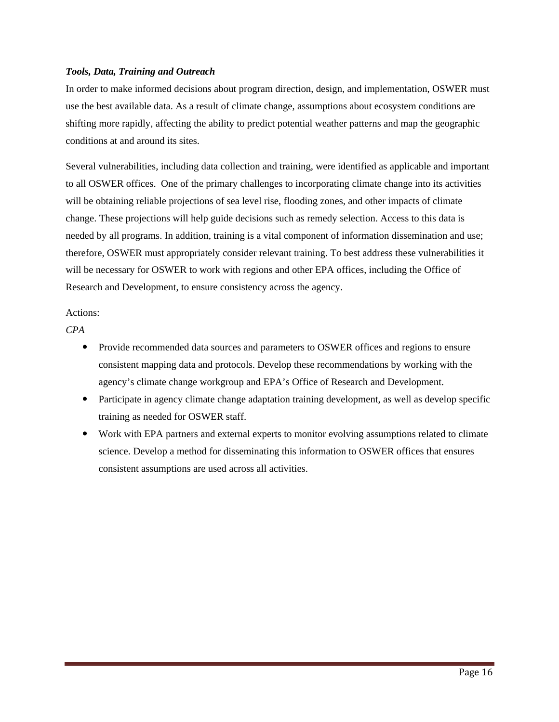#### *Tools, Data, Training and Outreach*

In order to make informed decisions about program direction, design, and implementation, OSWER must use the best available data. As a result of climate change, assumptions about ecosystem conditions are shifting more rapidly, affecting the ability to predict potential weather patterns and map the geographic conditions at and around its sites.

Several vulnerabilities, including data collection and training, were identified as applicable and important to all OSWER offices. One of the primary challenges to incorporating climate change into its activities will be obtaining reliable projections of sea level rise, flooding zones, and other impacts of climate change. These projections will help guide decisions such as remedy selection. Access to this data is needed by all programs. In addition, training is a vital component of information dissemination and use; therefore, OSWER must appropriately consider relevant training. To best address these vulnerabilities it will be necessary for OSWER to work with regions and other EPA offices, including the Office of Research and Development, to ensure consistency across the agency.

#### Actions:

*CPA* 

- Provide recommended data sources and parameters to OSWER offices and regions to ensure consistent mapping data and protocols. Develop these recommendations by working with the agency's climate change workgroup and EPA's Office of Research and Development.
- Participate in agency climate change adaptation training development, as well as develop specific training as needed for OSWER staff.
- Work with EPA partners and external experts to monitor evolving assumptions related to climate science. Develop a method for disseminating this information to OSWER offices that ensures consistent assumptions are used across all activities.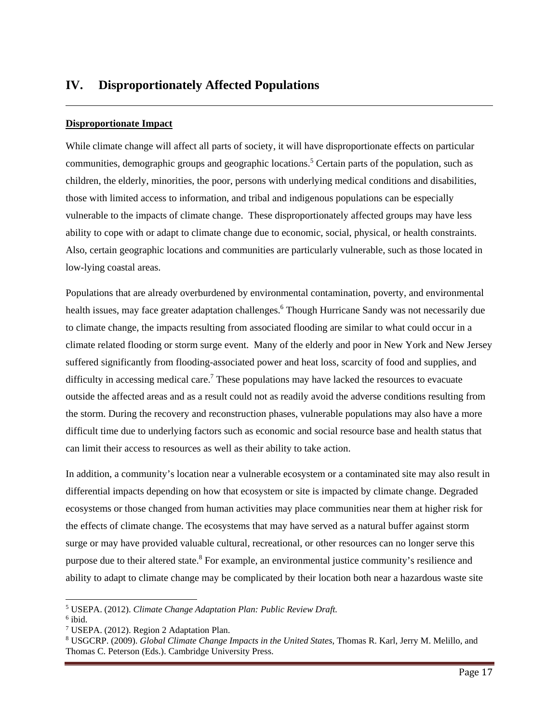## **IV. Disproportionately Affected Populations**

#### **Disproportionate Impact**

While climate change will affect all parts of society, it will have disproportionate effects on particular communities, demographic groups and geographic locations.<sup>5</sup> Certain parts of the population, such as children, the elderly, minorities, the poor, persons with underlying medical conditions and disabilities, those with limited access to information, and tribal and indigenous populations can be especially vulnerable to the impacts of climate change. These disproportionately affected groups may have less ability to cope with or adapt to climate change due to economic, social, physical, or health constraints. Also, certain geographic locations and communities are particularly vulnerable, such as those located in low-lying coastal areas.

Populations that are already overburdened by environmental contamination, poverty, and environmental health issues, may face greater adaptation challenges.<sup>6</sup> Though Hurricane Sandy was not necessarily due to climate change, the impacts resulting from associated flooding are similar to what could occur in a climate related flooding or storm surge event. Many of the elderly and poor in New York and New Jersey suffered significantly from flooding-associated power and heat loss, scarcity of food and supplies, and difficulty in accessing medical care.<sup>7</sup> These populations may have lacked the resources to evacuate outside the affected areas and as a result could not as readily avoid the adverse conditions resulting from the storm. During the recovery and reconstruction phases, vulnerable populations may also have a more difficult time due to underlying factors such as economic and social resource base and health status that can limit their access to resources as well as their ability to take action.

In addition, a community's location near a vulnerable ecosystem or a contaminated site may also result in differential impacts depending on how that ecosystem or site is impacted by climate change. Degraded ecosystems or those changed from human activities may place communities near them at higher risk for the effects of climate change. The ecosystems that may have served as a natural buffer against storm surge or may have provided valuable cultural, recreational, or other resources can no longer serve this purpose due to their altered state.<sup>8</sup> For example, an environmental justice community's resilience and ability to adapt to climate change may be complicated by their location both near a hazardous waste site

l

<sup>5</sup> USEPA. (2012). *Climate Change Adaptation Plan: Public Review Draft.*

 $<sup>6</sup>$  ibid.</sup>

<sup>7</sup> USEPA. (2012). Region 2 Adaptation Plan.

<sup>8</sup> USGCRP. (2009). *Global Climate Change Impacts in the United States*, Thomas R. Karl, Jerry M. Melillo, and Thomas C. Peterson (Eds.). Cambridge University Press.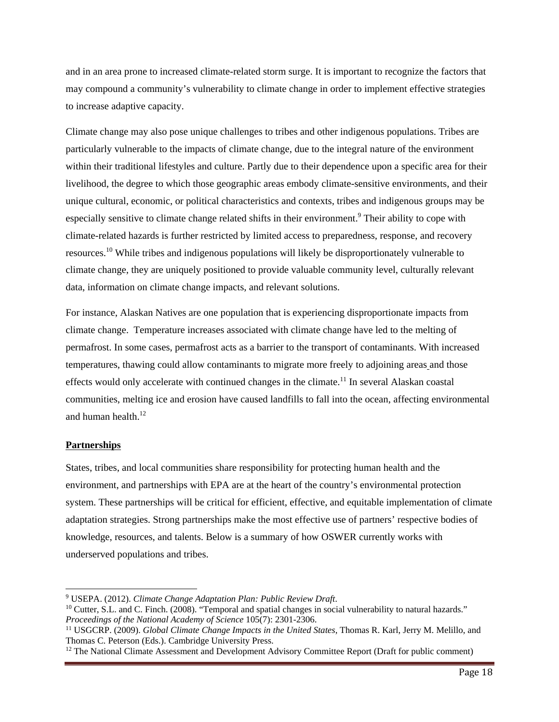and in an area prone to increased climate-related storm surge. It is important to recognize the factors that may compound a community's vulnerability to climate change in order to implement effective strategies to increase adaptive capacity.

Climate change may also pose unique challenges to tribes and other indigenous populations. Tribes are particularly vulnerable to the impacts of climate change, due to the integral nature of the environment within their traditional lifestyles and culture. Partly due to their dependence upon a specific area for their livelihood, the degree to which those geographic areas embody climate-sensitive environments, and their unique cultural, economic, or political characteristics and contexts, tribes and indigenous groups may be especially sensitive to climate change related shifts in their environment.<sup>9</sup> Their ability to cope with climate-related hazards is further restricted by limited access to preparedness, response, and recovery resources.10 While tribes and indigenous populations will likely be disproportionately vulnerable to climate change, they are uniquely positioned to provide valuable community level, culturally relevant data, information on climate change impacts, and relevant solutions.

and human health.<sup>12</sup> For instance, Alaskan Natives are one population that is experiencing disproportionate impacts from climate change. Temperature increases associated with climate change have led to the melting of permafrost. In some cases, permafrost acts as a barrier to the transport of contaminants. With increased temperatures, thawing could allow contaminants to migrate more freely to adjoining areas and those effects would only accelerate with continued changes in the climate.<sup>11</sup> In several Alaskan coastal communities, melting ice and erosion have caused landfills to fall into the ocean, affecting environmental

#### **Partnerships**

1

States, tribes, and local communities share responsibility for protecting human health and the environment, and partnerships with EPA are at the heart of the country's environmental protection system. These partnerships will be critical for efficient, effective, and equitable implementation of climate adaptation strategies. Strong partnerships make the most effective use of partners' respective bodies of knowledge, resources, and talents. Below is a summary of how OSWER currently works with underserved populations and tribes.

<sup>&</sup>lt;sup>9</sup> USEPA. (2012). Climate Change Adaptation Plan: Public Review Draft.

<sup>&</sup>lt;sup>10</sup> Cutter, S.L. and C. Finch. (2008). "Temporal and spatial changes in social vulnerability to natural hazards." *Proceedings of the National Academy of Science 105(7): 2301-2306.*<br><sup>11</sup> USGCRP. (2009). *Global Climate Change Impacts in the United States*, Thomas R. Karl, Jerry M. Melillo, and

Thomas C. Peterson (Eds.). Cambridge University Press.

<sup>&</sup>lt;sup>12</sup> The National Climate Assessment and Development Advisory Committee Report (Draft for public comment)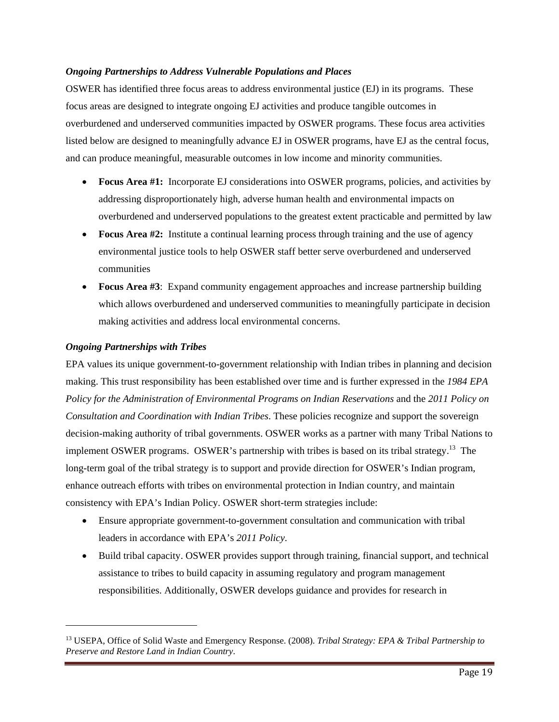#### *Ongoing Partnerships to Address Vulnerable Populations and Places*

 and can produce meaningful, measurable outcomes in low income and minority communities. OSWER has identified three focus areas to address environmental justice (EJ) in its programs. These focus areas are designed to integrate ongoing EJ activities and produce tangible outcomes in overburdened and underserved communities impacted by OSWER programs. These focus area activities listed below are designed to meaningfully advance EJ in OSWER programs, have EJ as the central focus,

- **Focus Area #1:** Incorporate EJ considerations into OSWER programs, policies, and activities by addressing disproportionately high, adverse human health and environmental impacts on overburdened and underserved populations to the greatest extent practicable and permitted by law
- **Focus Area #2:** Institute a continual learning process through training and the use of agency environmental justice tools to help OSWER staff better serve overburdened and underserved communities
- **Focus Area #3**: Expand community engagement approaches and increase partnership building which allows overburdened and underserved communities to meaningfully participate in decision making activities and address local environmental concerns.

#### *Ongoing Partnerships with Tribes*

l

EPA values its unique government-to-government relationship with Indian tribes in planning and decision making. This trust responsibility has been established over time and is further expressed in the *1984 EPA Policy for the Administration of Environmental Programs on Indian Reservations* and the *2011 Policy on Consultation and Coordination with Indian Tribes*. These policies recognize and support the sovereign decision-making authority of tribal governments. OSWER works as a partner with many Tribal Nations to implement OSWER programs. OSWER's partnership with tribes is based on its tribal strategy.13 The long-term goal of the tribal strategy is to support and provide direction for OSWER's Indian program, enhance outreach efforts with tribes on environmental protection in Indian country, and maintain consistency with EPA's Indian Policy. OSWER short-term strategies include:

- Ensure appropriate government-to-government consultation and communication with tribal leaders in accordance with EPA's *2011 Policy*.
- Build tribal capacity. OSWER provides support through training, financial support, and technical assistance to tribes to build capacity in assuming regulatory and program management responsibilities. Additionally, OSWER develops guidance and provides for research in

<sup>13</sup> USEPA, Office of Solid Waste and Emergency Response. (2008). *Tribal Strategy: EPA & Tribal Partnership to Preserve and Restore Land in Indian Country*.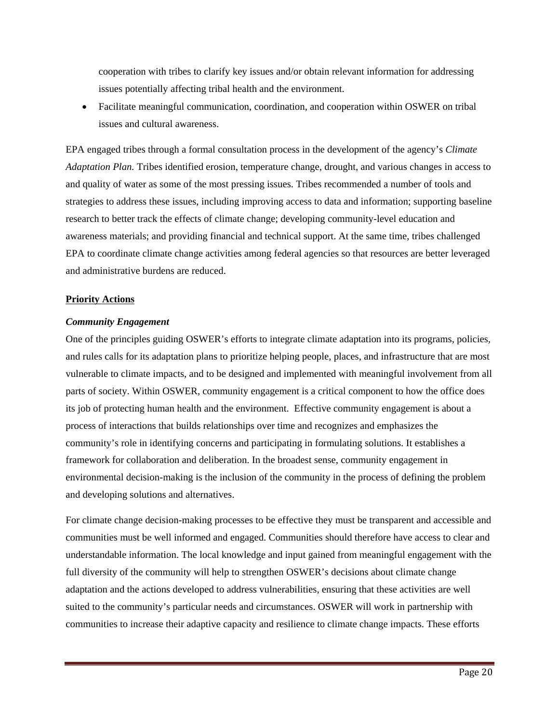cooperation with tribes to clarify key issues and/or obtain relevant information for addressing issues potentially affecting tribal health and the environment.

 Facilitate meaningful communication, coordination, and cooperation within OSWER on tribal issues and cultural awareness.

EPA engaged tribes through a formal consultation process in the development of the agency's *Climate Adaptation Plan.* Tribes identified erosion, temperature change, drought, and various changes in access to and quality of water as some of the most pressing issues. Tribes recommended a number of tools and strategies to address these issues, including improving access to data and information; supporting baseline research to better track the effects of climate change; developing community-level education and awareness materials; and providing financial and technical support. At the same time, tribes challenged EPA to coordinate climate change activities among federal agencies so that resources are better leveraged and administrative burdens are reduced.

#### **Priority Actions**

#### *Community Engagement*

One of the principles guiding OSWER's efforts to integrate climate adaptation into its programs, policies, and rules calls for its adaptation plans to prioritize helping people, places, and infrastructure that are most vulnerable to climate impacts, and to be designed and implemented with meaningful involvement from all parts of society. Within OSWER, community engagement is a critical component to how the office does its job of protecting human health and the environment. Effective community engagement is about a process of interactions that builds relationships over time and recognizes and emphasizes the community's role in identifying concerns and participating in formulating solutions. It establishes a framework for collaboration and deliberation. In the broadest sense, community engagement in environmental decision-making is the inclusion of the community in the process of defining the problem and developing solutions and alternatives.

For climate change decision-making processes to be effective they must be transparent and accessible and communities must be well informed and engaged. Communities should therefore have access to clear and understandable information. The local knowledge and input gained from meaningful engagement with the full diversity of the community will help to strengthen OSWER's decisions about climate change adaptation and the actions developed to address vulnerabilities, ensuring that these activities are well suited to the community's particular needs and circumstances. OSWER will work in partnership with communities to increase their adaptive capacity and resilience to climate change impacts. These efforts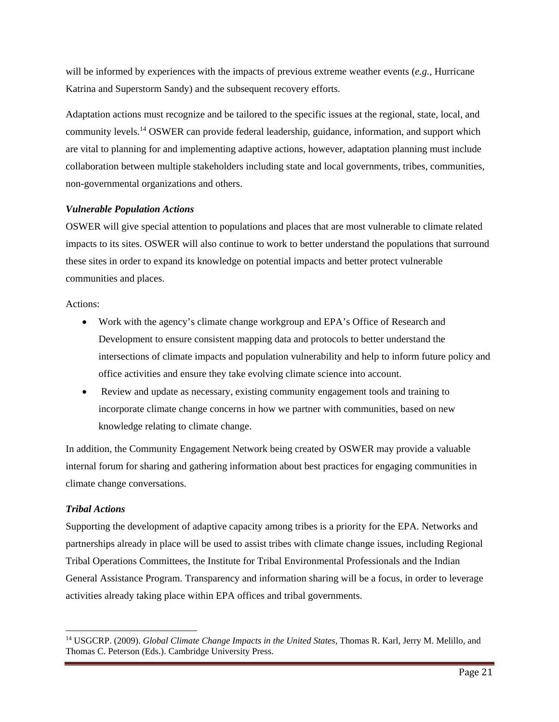will be informed by experiences with the impacts of previous extreme weather events (*e.g.*, Hurricane Katrina and Superstorm Sandy) and the subsequent recovery efforts.

Adaptation actions must recognize and be tailored to the specific issues at the regional, state, local, and community levels.<sup>14</sup> OSWER can provide federal leadership, guidance, information, and support which are vital to planning for and implementing adaptive actions, however, adaptation planning must include collaboration between multiple stakeholders including state and local governments, tribes, communities, non-governmental organizations and others.

#### *Vulnerable Population Actions*

OSWER will give special attention to populations and places that are most vulnerable to climate related impacts to its sites. OSWER will also continue to work to better understand the populations that surround these sites in order to expand its knowledge on potential impacts and better protect vulnerable communities and places.

#### Actions:

- Work with the agency's climate change workgroup and EPA's Office of Research and Development to ensure consistent mapping data and protocols to better understand the intersections of climate impacts and population vulnerability and help to inform future policy and office activities and ensure they take evolving climate science into account.
- Review and update as necessary, existing community engagement tools and training to incorporate climate change concerns in how we partner with communities, based on new knowledge relating to climate change.

In addition, the Community Engagement Network being created by OSWER may provide a valuable internal forum for sharing and gathering information about best practices for engaging communities in climate change conversations.

### *Tribal Actions*

l

Supporting the development of adaptive capacity among tribes is a priority for the EPA. Networks and partnerships already in place will be used to assist tribes with climate change issues, including Regional Tribal Operations Committees, the Institute for Tribal Environmental Professionals and the Indian General Assistance Program. Transparency and information sharing will be a focus, in order to leverage activities already taking place within EPA offices and tribal governments.

<sup>14</sup> USGCRP. (2009). *Global Climate Change Impacts in the United States*, Thomas R. Karl, Jerry M. Melillo, and Thomas C. Peterson (Eds.). Cambridge University Press.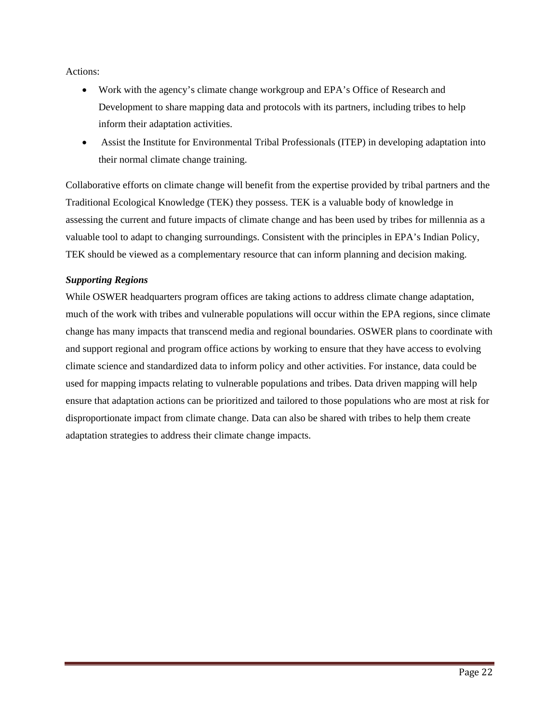Actions:

- Work with the agency's climate change workgroup and EPA's Office of Research and Development to share mapping data and protocols with its partners, including tribes to help inform their adaptation activities.
- Assist the Institute for Environmental Tribal Professionals (ITEP) in developing adaptation into their normal climate change training.

Collaborative efforts on climate change will benefit from the expertise provided by tribal partners and the Traditional Ecological Knowledge (TEK) they possess. TEK is a valuable body of knowledge in assessing the current and future impacts of climate change and has been used by tribes for millennia as a valuable tool to adapt to changing surroundings. Consistent with the principles in EPA's Indian Policy, TEK should be viewed as a complementary resource that can inform planning and decision making.

#### *Supporting Regions*

While OSWER headquarters program offices are taking actions to address climate change adaptation, much of the work with tribes and vulnerable populations will occur within the EPA regions, since climate change has many impacts that transcend media and regional boundaries. OSWER plans to coordinate with and support regional and program office actions by working to ensure that they have access to evolving climate science and standardized data to inform policy and other activities. For instance, data could be used for mapping impacts relating to vulnerable populations and tribes. Data driven mapping will help ensure that adaptation actions can be prioritized and tailored to those populations who are most at risk for disproportionate impact from climate change. Data can also be shared with tribes to help them create adaptation strategies to address their climate change impacts.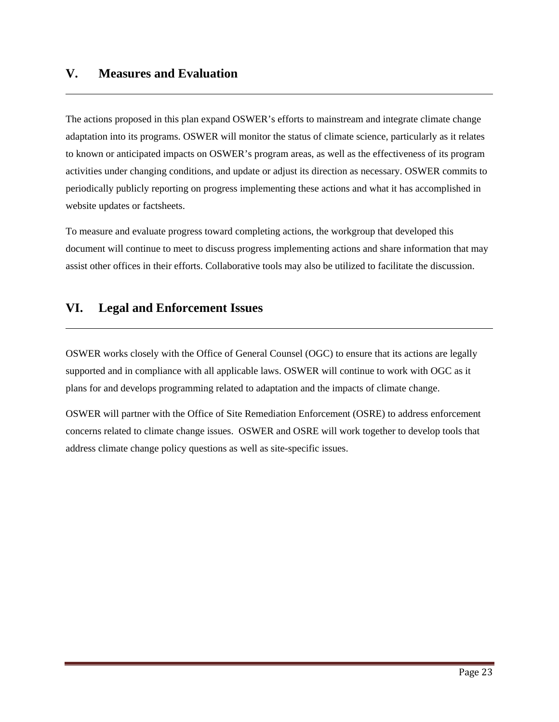## **V. Measures and Evaluation**

The actions proposed in this plan expand OSWER's efforts to mainstream and integrate climate change adaptation into its programs. OSWER will monitor the status of climate science, particularly as it relates to known or anticipated impacts on OSWER's program areas, as well as the effectiveness of its program activities under changing conditions, and update or adjust its direction as necessary. OSWER commits to periodically publicly reporting on progress implementing these actions and what it has accomplished in website updates or factsheets.

To measure and evaluate progress toward completing actions, the workgroup that developed this document will continue to meet to discuss progress implementing actions and share information that may assist other offices in their efforts. Collaborative tools may also be utilized to facilitate the discussion.

## **VI. Legal and Enforcement Issues**

OSWER works closely with the Office of General Counsel (OGC) to ensure that its actions are legally supported and in compliance with all applicable laws. OSWER will continue to work with OGC as it plans for and develops programming related to adaptation and the impacts of climate change.

OSWER will partner with the Office of Site Remediation Enforcement (OSRE) to address enforcement concerns related to climate change issues. OSWER and OSRE will work together to develop tools that address climate change policy questions as well as site-specific issues.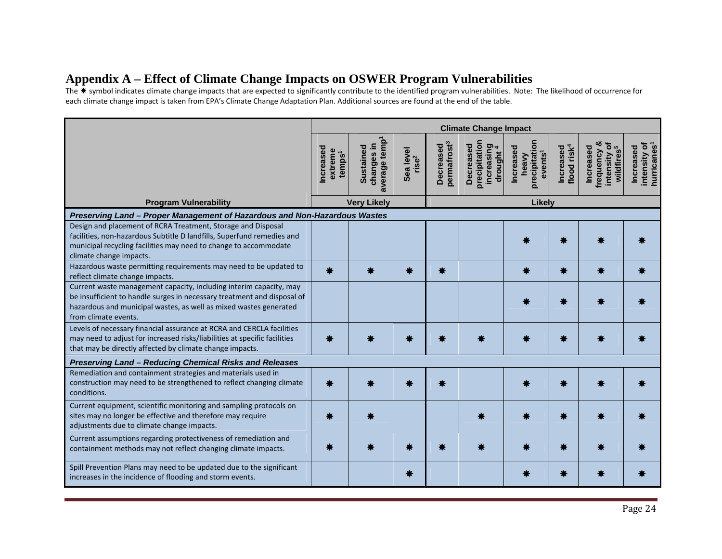## **Appendix A – Effect of Climate Change Impacts on OSWER Program Vulnerabilities**

The  $*$  symbol indicates climate change impacts that are expected to significantly contribute to the identified program vulnerabilities. Note: The likelihood of occurrence for each climate change impact is taken from EPA's Climate Change Adaptation Plan. Additional sources are found at the end of the table.

|                                                                                                                                                                                                                                            |                                           |                                                |                                |                                      | <b>Climate Change Impact</b>                                      |                                                                   |                                             |                                                                      |                                                      |
|--------------------------------------------------------------------------------------------------------------------------------------------------------------------------------------------------------------------------------------------|-------------------------------------------|------------------------------------------------|--------------------------------|--------------------------------------|-------------------------------------------------------------------|-------------------------------------------------------------------|---------------------------------------------|----------------------------------------------------------------------|------------------------------------------------------|
|                                                                                                                                                                                                                                            | ncreased<br>extreme<br>temps <sup>1</sup> | average temp<br>changes in<br><b>Sustained</b> | Sea level<br>rise <sup>2</sup> | permafrost <sup>3</sup><br>Decreased | precipitation<br>Decreased<br>increasing<br>uncreasing<br>drought | precipitation<br><b>Increased</b><br>events <sup>1</sup><br>heavy | flood risk <sup>4</sup><br><b>Increased</b> | frequency &<br>৳<br>wildfires <sup>5</sup><br>Increased<br>intensity | hurricanes <sup>1</sup><br>intensity of<br>Increased |
| <b>Program Vulnerability</b>                                                                                                                                                                                                               |                                           | <b>Very Likely</b>                             |                                | Likely                               |                                                                   |                                                                   |                                             |                                                                      |                                                      |
| Preserving Land - Proper Management of Hazardous and Non-Hazardous Wastes                                                                                                                                                                  |                                           |                                                |                                |                                      |                                                                   |                                                                   |                                             |                                                                      |                                                      |
| Design and placement of RCRA Treatment, Storage and Disposal<br>facilities, non-hazardous Subtitle D landfills, Superfund remedies and<br>municipal recycling facilities may need to change to accommodate<br>climate change impacts.      |                                           |                                                |                                |                                      |                                                                   |                                                                   |                                             |                                                                      |                                                      |
| Hazardous waste permitting requirements may need to be updated to<br>reflect climate change impacts.                                                                                                                                       | *                                         | ☀                                              |                                | *                                    |                                                                   |                                                                   | 兼                                           |                                                                      |                                                      |
| Current waste management capacity, including interim capacity, may<br>be insufficient to handle surges in necessary treatment and disposal of<br>hazardous and municipal wastes, as well as mixed wastes generated<br>from climate events. |                                           |                                                |                                |                                      |                                                                   |                                                                   |                                             |                                                                      |                                                      |
| Levels of necessary financial assurance at RCRA and CERCLA facilities<br>may need to adjust for increased risks/liabilities at specific facilities<br>that may be directly affected by climate change impacts.                             |                                           |                                                |                                |                                      |                                                                   |                                                                   |                                             |                                                                      |                                                      |
| Preserving Land - Reducing Chemical Risks and Releases                                                                                                                                                                                     |                                           |                                                |                                |                                      |                                                                   |                                                                   |                                             |                                                                      |                                                      |
| Remediation and containment strategies and materials used in<br>construction may need to be strengthened to reflect changing climate<br>conditions.                                                                                        |                                           |                                                |                                |                                      |                                                                   |                                                                   |                                             |                                                                      |                                                      |
| Current equipment, scientific monitoring and sampling protocols on<br>sites may no longer be effective and therefore may require<br>adjustments due to climate change impacts.                                                             |                                           |                                                |                                |                                      |                                                                   |                                                                   |                                             |                                                                      |                                                      |
| Current assumptions regarding protectiveness of remediation and<br>containment methods may not reflect changing climate impacts.                                                                                                           |                                           |                                                |                                |                                      |                                                                   |                                                                   |                                             |                                                                      |                                                      |
| Spill Prevention Plans may need to be updated due to the significant<br>increases in the incidence of flooding and storm events.                                                                                                           |                                           |                                                | *                              |                                      |                                                                   |                                                                   |                                             |                                                                      |                                                      |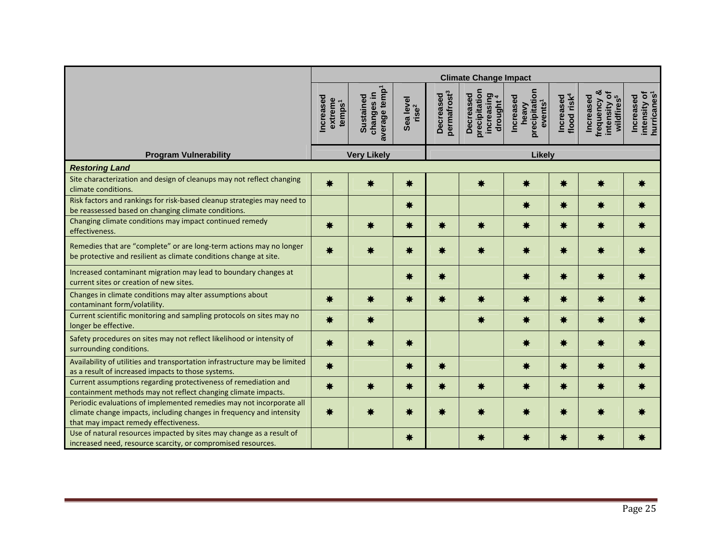|                                                                                                                                                                                       |                                            |                                                             |                                |                                      | <b>Climate Change Impact</b>                                            |                                                            |                                      |                                                                    |                                                      |
|---------------------------------------------------------------------------------------------------------------------------------------------------------------------------------------|--------------------------------------------|-------------------------------------------------------------|--------------------------------|--------------------------------------|-------------------------------------------------------------------------|------------------------------------------------------------|--------------------------------------|--------------------------------------------------------------------|------------------------------------------------------|
|                                                                                                                                                                                       | Increased<br>extreme<br>temps <sup>1</sup> | average temp <sup>1</sup><br>changes in<br><b>Sustained</b> | Sea level<br>rise <sup>2</sup> | permafrost <sup>3</sup><br>Decreased | precipitation<br>increasing<br>drought <sup>4</sup><br><b>Decreased</b> | precipitation<br>Increased<br>events <sup>1</sup><br>heavy | flood risk <sup>4</sup><br>Increased | frequency &<br>intensity of<br>wildfires <sup>5</sup><br>Increased | hurricanes <sup>1</sup><br>intensity of<br>Increased |
| <b>Program Vulnerability</b>                                                                                                                                                          |                                            | <b>Very Likely</b>                                          |                                | Likely                               |                                                                         |                                                            |                                      |                                                                    |                                                      |
| <b>Restoring Land</b>                                                                                                                                                                 |                                            |                                                             |                                |                                      |                                                                         |                                                            |                                      |                                                                    |                                                      |
| Site characterization and design of cleanups may not reflect changing<br>climate conditions.                                                                                          | ₩                                          | ₩                                                           | *                              |                                      | ₩                                                                       | ₩                                                          | ₩                                    |                                                                    | ₩                                                    |
| Risk factors and rankings for risk-based cleanup strategies may need to<br>be reassessed based on changing climate conditions.                                                        |                                            |                                                             | *                              |                                      |                                                                         | ₩                                                          | *                                    |                                                                    |                                                      |
| Changing climate conditions may impact continued remedy<br>effectiveness.                                                                                                             | *                                          |                                                             | *                              |                                      | ☀                                                                       | ₩                                                          | *                                    |                                                                    |                                                      |
| Remedies that are "complete" or are long-term actions may no longer<br>be protective and resilient as climate conditions change at site.                                              | *                                          |                                                             | ☀                              | ☀                                    | ₩                                                                       | ₩                                                          | *                                    |                                                                    |                                                      |
| Increased contaminant migration may lead to boundary changes at<br>current sites or creation of new sites.                                                                            |                                            |                                                             | ☀                              | ☀                                    |                                                                         | ₩                                                          | ₩                                    |                                                                    |                                                      |
| Changes in climate conditions may alter assumptions about<br>contaminant form/volatility.                                                                                             | ☀                                          | ₩                                                           | *                              |                                      | ₩                                                                       | ₩                                                          | ₩                                    |                                                                    |                                                      |
| Current scientific monitoring and sampling protocols on sites may no<br>longer be effective.                                                                                          | ☀                                          | ☀                                                           |                                |                                      | ☀                                                                       | ₩                                                          | ₩                                    | ₩                                                                  |                                                      |
| Safety procedures on sites may not reflect likelihood or intensity of<br>surrounding conditions.                                                                                      | ☀                                          | 鮝                                                           | ₩                              |                                      |                                                                         | ₩                                                          | *                                    | ₩                                                                  |                                                      |
| Availability of utilities and transportation infrastructure may be limited<br>as a result of increased impacts to those systems.                                                      | *                                          |                                                             | ☀                              | ☀                                    |                                                                         | ₩                                                          | *                                    | ₩                                                                  |                                                      |
| Current assumptions regarding protectiveness of remediation and<br>containment methods may not reflect changing climate impacts.                                                      | ☀                                          | ₩                                                           | *                              | ☀                                    | ☀                                                                       | *                                                          | *                                    | ₩                                                                  |                                                      |
| Periodic evaluations of implemented remedies may not incorporate all<br>climate change impacts, including changes in frequency and intensity<br>that may impact remedy effectiveness. | ₩                                          |                                                             | ☀                              |                                      |                                                                         | ₩                                                          | ☀                                    |                                                                    |                                                      |
| Use of natural resources impacted by sites may change as a result of<br>increased need, resource scarcity, or compromised resources.                                                  |                                            |                                                             | ₩                              |                                      | ₩                                                                       |                                                            | 兼                                    |                                                                    |                                                      |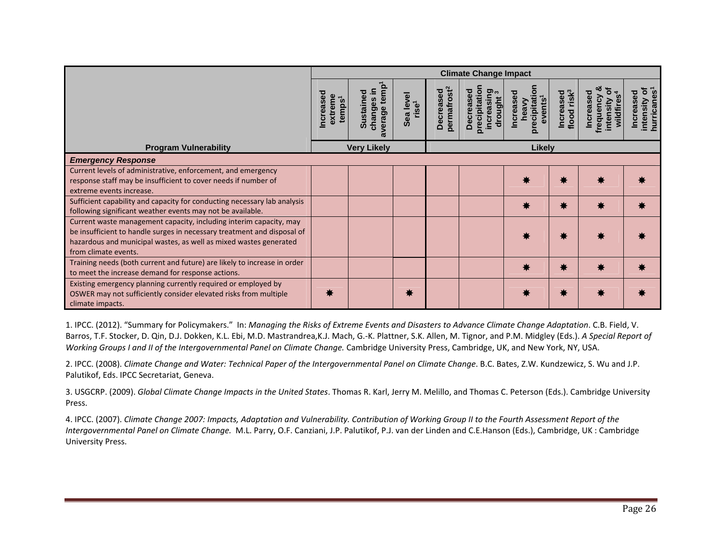|                                                                                                                                                                                                                                            | <b>Climate Change Impact</b>              |                                              |                                   |                                            |                                                                  |                                           |                         |                                   |                                    |  |
|--------------------------------------------------------------------------------------------------------------------------------------------------------------------------------------------------------------------------------------------|-------------------------------------------|----------------------------------------------|-----------------------------------|--------------------------------------------|------------------------------------------------------------------|-------------------------------------------|-------------------------|-----------------------------------|------------------------------------|--|
|                                                                                                                                                                                                                                            | ncreasec<br>extreme<br>temps <sup>1</sup> | temp<br>≘.<br>Sustained<br>changes<br>verage | level<br>rise <sup>1</sup><br>Sea | <b>permafrost<sup>2</sup></b><br>Decreased | orecipitation<br>increasing<br>Decreased<br>drought <sup>:</sup> | precipitati<br>ncrease<br>events<br>heavy | Increased<br>flood risk | requency<br>wildfire<br>intensity | hurricanes<br>ncrease<br>intensity |  |
| <b>Program Vulnerability</b>                                                                                                                                                                                                               |                                           | <b>Very Likely</b>                           |                                   |                                            |                                                                  | <b>Likely</b>                             |                         |                                   |                                    |  |
| <b>Emergency Response</b>                                                                                                                                                                                                                  |                                           |                                              |                                   |                                            |                                                                  |                                           |                         |                                   |                                    |  |
| Current levels of administrative, enforcement, and emergency<br>response staff may be insufficient to cover needs if number of<br>extreme events increase.                                                                                 |                                           |                                              |                                   |                                            |                                                                  | ₩                                         | 兼                       |                                   |                                    |  |
| Sufficient capability and capacity for conducting necessary lab analysis<br>following significant weather events may not be available.                                                                                                     |                                           |                                              |                                   |                                            |                                                                  | ₩                                         | ☀                       |                                   |                                    |  |
| Current waste management capacity, including interim capacity, may<br>be insufficient to handle surges in necessary treatment and disposal of<br>hazardous and municipal wastes, as well as mixed wastes generated<br>from climate events. |                                           |                                              |                                   |                                            |                                                                  | ₩                                         | 嶣                       |                                   |                                    |  |
| Training needs (both current and future) are likely to increase in order<br>to meet the increase demand for response actions.                                                                                                              |                                           |                                              |                                   |                                            |                                                                  | ₩                                         | *                       |                                   |                                    |  |
| Existing emergency planning currently required or employed by<br>OSWER may not sufficiently consider elevated risks from multiple<br>climate impacts.                                                                                      |                                           |                                              |                                   |                                            |                                                                  | ₩                                         | *                       |                                   |                                    |  |

1. IPCC. (2012). "Summary for Policymakers." In: *Managing the Risks of Extreme Events and Disasters to Advance Climate Change Adaptation.* C.B. Field, V. Barros, T.F. Stocker, D. Qin, D.J. Dokken, K.L. Ebi, M.D. Mastrandrea,K.J. Mach, G.‐K. Plattner, S.K. Allen, M. Tignor, and P.M. Midgley (Eds.). *A Special Report of Working Groups I and II of the Intergovernmental Panel on Climate Change.* Cambridge University Press, Cambridge, UK, and New York, NY, USA.

2. IPCC. (2008). *Climate Change and Water: Technical Paper of the Intergovernmental Panel on Climate Change*. B.C. Bates, Z.W. Kundzewicz, S. Wu and J.P. Palutikof, Eds. IPCC Secretariat, Geneva.

3. USGCRP. (2009). *Global Climate Change Impacts in the United States*. Thomas R. Karl, Jerry M. Melillo, and Thomas C. Peterson (Eds.). Cambridge University Press.

4. IPCC. (2007). Climate Change 2007: Impacts, Adaptation and Vulnerability. Contribution of Working Group II to the Fourth Assessment Report of the *Intergovernmental Panel on Climate Change.* M.L. Parry, O.F. Canziani, J.P. Palutikof, P.J. van der Linden and C.E.Hanson (Eds.), Cambridge, UK : Cambridge University Press.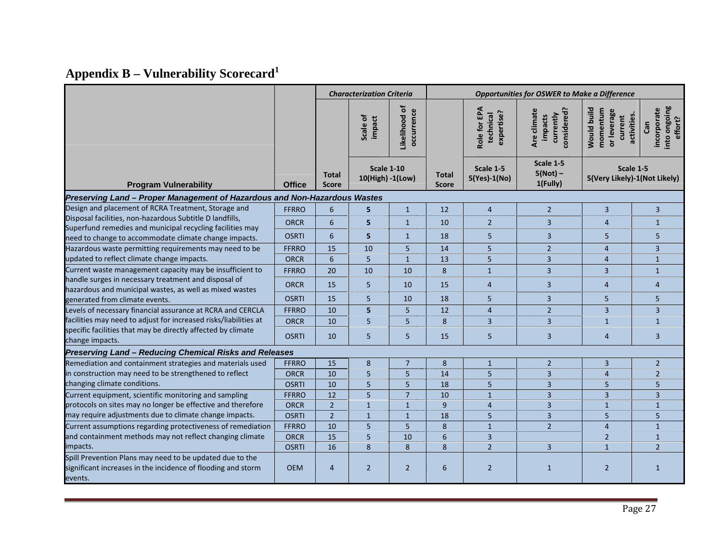# **Appendix B – Vulnerability Scorecard<sup>1</sup>**

|                                                                                                                      |                             |                              | <b>Characterization Criteria</b>      |                                | <b>Opportunities for OSWER to Make a Difference</b> |                                         |                                                    |                                                   |                                                             |  |
|----------------------------------------------------------------------------------------------------------------------|-----------------------------|------------------------------|---------------------------------------|--------------------------------|-----------------------------------------------------|-----------------------------------------|----------------------------------------------------|---------------------------------------------------|-------------------------------------------------------------|--|
|                                                                                                                      |                             |                              | Scale of<br>impact                    | Likelihood of<br>occurrence    |                                                     | Role for EPA<br>expertise?<br>technical | considered?<br>Are climate<br>currently<br>impacts | Would build<br>momentum<br>or leverage<br>current | into ongoing<br>incorporate<br>activities<br>effort?<br>Gan |  |
| <b>Program Vulnerability</b>                                                                                         | <b>Office</b>               | <b>Total</b><br><b>Score</b> | <b>Scale 1-10</b><br>10(High) -1(Low) |                                | <b>Total</b><br><b>Score</b>                        | Scale 1-5<br>5(Yes)-1(No)               | Scale 1-5<br>$5(Not)$ –<br>1(Fully)                |                                                   | Scale 1-5<br>5(Very Likely)-1(Not Likely)                   |  |
| Preserving Land - Proper Management of Hazardous and Non-Hazardous Wastes                                            |                             |                              |                                       |                                |                                                     |                                         |                                                    |                                                   |                                                             |  |
| Design and placement of RCRA Treatment, Storage and                                                                  | <b>FFRRO</b>                | 6                            | 5                                     | $\mathbf{1}$                   | 12                                                  | $\overline{4}$                          | $\overline{2}$                                     | 3                                                 | 3                                                           |  |
| Disposal facilities, non-hazardous Subtitle D landfills,                                                             | <b>ORCR</b>                 | $\boldsymbol{6}$             | 5                                     | $\overline{1}$                 | 10                                                  | $\overline{2}$                          | 3                                                  | $\overline{4}$                                    | $\mathbf{1}$                                                |  |
| Superfund remedies and municipal recycling facilities may<br>need to change to accommodate climate change impacts.   | <b>OSRTI</b>                | $\sqrt{6}$                   | 5                                     | $\mathbf{1}$                   | 18                                                  | 5 <sup>5</sup>                          | 3                                                  | 5                                                 | 5                                                           |  |
| Hazardous waste permitting requirements may need to be                                                               | <b>FFRRO</b>                | 15                           | 10                                    | 5                              | 14                                                  | 5                                       | $\overline{2}$                                     | $\overline{4}$                                    | 3                                                           |  |
| updated to reflect climate change impacts.                                                                           | <b>ORCR</b>                 | 6                            | 5                                     | $\mathbf{1}$                   | 13                                                  | 5                                       | $\overline{3}$                                     | $\overline{4}$                                    | $\mathbf{1}$                                                |  |
| Current waste management capacity may be insufficient to                                                             | <b>FFRRO</b>                | 20                           | 10                                    | 10                             | 8                                                   | $\overline{1}$                          | $\overline{\mathbf{3}}$                            | $\overline{3}$                                    | $\overline{1}$                                              |  |
| handle surges in necessary treatment and disposal of                                                                 | <b>ORCR</b>                 | 15                           | 5                                     | 10                             | 15                                                  | $\overline{4}$                          | $\overline{3}$                                     | $\overline{4}$                                    | $\overline{4}$                                              |  |
| hazardous and municipal wastes, as well as mixed wastes<br>generated from climate events.                            | <b>OSRTI</b>                | 15                           | 5                                     | 10                             | 18                                                  | 5                                       | 3                                                  | 5                                                 | 5                                                           |  |
| Levels of necessary financial assurance at RCRA and CERCLA                                                           | <b>FFRRO</b>                | 10                           | 5                                     | 5                              | 12                                                  | $\overline{4}$                          | $\overline{2}$                                     | $\overline{3}$                                    | $\overline{3}$                                              |  |
| facilities may need to adjust for increased risks/liabilities at                                                     | <b>ORCR</b>                 | 10                           | 5                                     | 5                              | 8                                                   | $\overline{3}$                          | $\overline{3}$                                     | $\mathbf{1}$                                      | $\mathbf{1}$                                                |  |
| specific facilities that may be directly affected by climate<br>change impacts.                                      | <b>OSRTI</b>                | 10                           | 5                                     | 5                              | 15                                                  | 5 <sup>5</sup>                          | 3                                                  | $\overline{4}$                                    | $\overline{3}$                                              |  |
| Preserving Land - Reducing Chemical Risks and Releases                                                               |                             |                              |                                       |                                |                                                     |                                         |                                                    |                                                   |                                                             |  |
| Remediation and containment strategies and materials used                                                            | <b>FFRRO</b>                | 15                           | 8                                     | $\overline{7}$                 | 8                                                   | $\mathbf{1}$                            | $\overline{2}$                                     | $\overline{3}$                                    | $\overline{2}$                                              |  |
| in construction may need to be strengthened to reflect                                                               | <b>ORCR</b>                 | 10                           | 5                                     | 5                              | 14                                                  | 5                                       | 3                                                  | $\overline{4}$                                    | $\overline{2}$                                              |  |
| changing climate conditions.                                                                                         | <b>OSRTI</b>                | 10                           | 5                                     | 5                              | 18                                                  | 5                                       | 3                                                  | 5                                                 | 5                                                           |  |
| Current equipment, scientific monitoring and sampling<br>protocols on sites may no longer be effective and therefore | <b>FFRRO</b><br><b>ORCR</b> | 12<br>$\overline{2}$         | 5                                     | $\overline{7}$<br>$\mathbf{1}$ | 10<br>9                                             | $\mathbf{1}$<br>$\overline{4}$          | $\overline{3}$<br>3                                | $\overline{3}$                                    | $\overline{3}$<br>$\mathbf{1}$                              |  |
| may require adjustments due to climate change impacts.                                                               | <b>OSRTI</b>                | $\overline{2}$               | $\mathbf{1}$<br>$\mathbf{1}$          | $\overline{1}$                 | 18                                                  | 5                                       | 3                                                  | $\mathbf{1}$<br>5                                 | 5                                                           |  |
| Current assumptions regarding protectiveness of remediation                                                          | <b>FFRRO</b>                | 10                           | 5                                     | 5                              | 8                                                   | $\mathbf{1}$                            | $\overline{2}$                                     | $\overline{4}$                                    | $\mathbf{1}$                                                |  |
| and containment methods may not reflect changing climate                                                             | <b>ORCR</b>                 | 15                           | 5                                     | 10                             | 6                                                   | $\overline{3}$                          |                                                    | $\overline{2}$                                    | $\mathbf{1}$                                                |  |
| impacts.                                                                                                             | <b>OSRTI</b>                | 16                           | 8                                     | 8                              | 8                                                   | $\overline{2}$                          | $\overline{3}$                                     | $\mathbf{1}$                                      | $\overline{2}$                                              |  |
| Spill Prevention Plans may need to be updated due to the                                                             |                             |                              |                                       |                                |                                                     |                                         |                                                    |                                                   |                                                             |  |
| significant increases in the incidence of flooding and storm<br>events.                                              | <b>OEM</b>                  | $\overline{4}$               | $\overline{2}$                        | $\overline{2}$                 | 6                                                   | $\overline{2}$                          | $\mathbf{1}$                                       | $\overline{2}$                                    | $\mathbf{1}$                                                |  |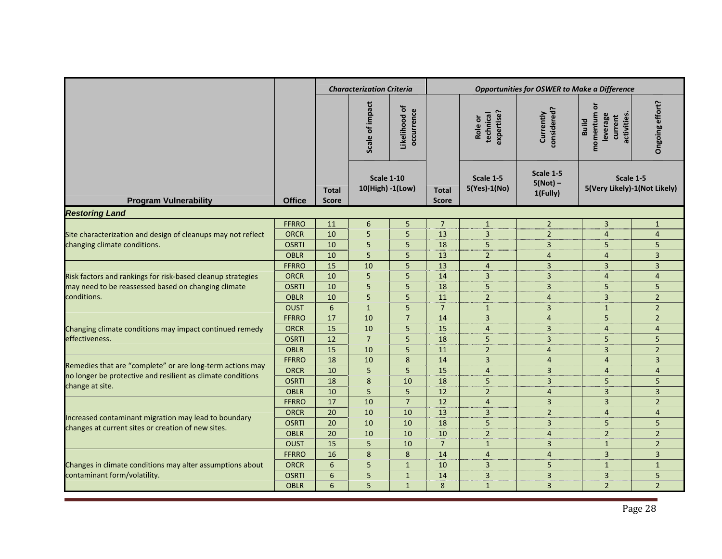|                                                              |               |              | <b>Characterization Criteria</b> |                               |                 |                                    | <b>Opportunities for OSWER to Make a Difference</b> |                                                                    |                 |
|--------------------------------------------------------------|---------------|--------------|----------------------------------|-------------------------------|-----------------|------------------------------------|-----------------------------------------------------|--------------------------------------------------------------------|-----------------|
|                                                              |               |              | impact<br>Scale of               | ৳<br>occurrence<br>Likelihood |                 | expertise?<br>technical<br>Role or | considered?<br>Currently                            | ō<br>momentum<br>activities<br>leverage<br>current<br><b>Build</b> | Ongoing effort? |
|                                                              |               |              | <b>Scale 1-10</b>                |                               |                 | Scale 1-5                          | Scale 1-5                                           | Scale 1-5                                                          |                 |
|                                                              |               | <b>Total</b> | 10(High) -1(Low)                 |                               | <b>Total</b>    | 5(Yes)-1(No)                       | $5(Not)$ –                                          | 5(Very Likely)-1(Not Likely)                                       |                 |
| <b>Program Vulnerability</b>                                 | <b>Office</b> | <b>Score</b> |                                  |                               | <b>Score</b>    |                                    | 1(Fully)                                            |                                                                    |                 |
| <b>Restoring Land</b>                                        |               |              |                                  |                               |                 |                                    |                                                     |                                                                    |                 |
|                                                              | <b>FFRRO</b>  | 11           | $\boldsymbol{6}$                 | 5                             | $\overline{7}$  | $\mathbf{1}$                       | $\mathbf 2$                                         | $\overline{3}$                                                     | $\mathbf{1}$    |
| Site characterization and design of cleanups may not reflect | <b>ORCR</b>   | 10           | 5                                | 5                             | 13              | $\overline{3}$                     | $\overline{2}$                                      | $\overline{4}$                                                     | $\overline{4}$  |
| changing climate conditions.                                 | <b>OSRTI</b>  | 10           | 5                                | 5                             | 18              | 5                                  | $\overline{3}$                                      | 5                                                                  | 5               |
|                                                              | <b>OBLR</b>   | 10           | 5                                | 5                             | 13              | $\overline{2}$                     | $\overline{4}$                                      | $\overline{4}$                                                     | 3               |
|                                                              | <b>FFRRO</b>  | 15           | 10                               | 5                             | 13              | $\overline{4}$                     | $\overline{3}$                                      | $\overline{3}$                                                     | $\overline{3}$  |
| Risk factors and rankings for risk-based cleanup strategies  | <b>ORCR</b>   | 10           | 5                                | 5                             | 14              | $\overline{3}$                     | $\overline{3}$                                      | $\overline{4}$                                                     | $\overline{4}$  |
| may need to be reassessed based on changing climate          | <b>OSRTI</b>  | 10           | 5                                | 5                             | 18              | 5                                  | $\overline{3}$                                      | 5                                                                  | 5               |
| conditions.                                                  | <b>OBLR</b>   | 10           | 5                                | 5                             | 11              | $\overline{2}$                     | $\overline{4}$                                      | $\overline{3}$                                                     | $\overline{2}$  |
|                                                              | <b>OUST</b>   | 6            | $\mathbf{1}$                     | 5                             | $\overline{7}$  | $\mathbf{1}$                       | 3                                                   | $\mathbf{1}$                                                       | $\overline{2}$  |
|                                                              | <b>FFRRO</b>  | 17           | 10                               | $\overline{7}$                | 14              | $\overline{3}$                     | $\overline{\mathbf{4}}$                             | 5                                                                  | $\overline{2}$  |
| Changing climate conditions may impact continued remedy      | <b>ORCR</b>   | 15           | 10                               | 5                             | 15              | $\overline{4}$                     | $\overline{3}$                                      | $\overline{4}$                                                     | $\overline{4}$  |
| effectiveness.                                               | <b>OSRTI</b>  | 12           | $\overline{7}$                   | 5                             | 18              | 5                                  | 3                                                   | 5                                                                  | 5               |
|                                                              | <b>OBLR</b>   | 15           | 10                               | 5                             | 11              | $\overline{2}$                     | $\overline{4}$                                      | $\overline{3}$                                                     | $\overline{2}$  |
| Remedies that are "complete" or are long-term actions may    | <b>FFRRO</b>  | 18           | 10                               | 8                             | 14              | $\overline{3}$                     | $\overline{4}$                                      | $\overline{A}$                                                     | $\overline{3}$  |
| no longer be protective and resilient as climate conditions  | <b>ORCR</b>   | 10           | 5                                | 5                             | 15              | $\overline{4}$                     | 3                                                   | $\overline{4}$                                                     | $\overline{4}$  |
| change at site.                                              | <b>OSRTI</b>  | 18           | 8                                | 10                            | 18              | 5                                  | 3                                                   | 5                                                                  | 5               |
|                                                              | <b>OBLR</b>   | 10           | 5                                | 5                             | 12              | $\overline{2}$                     | $\overline{4}$                                      | 3                                                                  | 3               |
|                                                              | <b>FFRRO</b>  | 17           | 10                               | $\overline{7}$                | $\overline{12}$ | $\overline{4}$                     | $\overline{\mathbf{3}}$                             | $\overline{3}$                                                     | $\overline{2}$  |
| Increased contaminant migration may lead to boundary         | <b>ORCR</b>   | 20           | 10                               | 10                            | 13              | $\overline{3}$                     | $\overline{2}$                                      | $\overline{4}$                                                     | $\overline{4}$  |
| changes at current sites or creation of new sites.           | <b>OSRTI</b>  | 20           | 10                               | 10                            | 18              | 5                                  | 3                                                   | 5                                                                  | 5               |
|                                                              | <b>OBLR</b>   | 20           | 10                               | 10                            | 10              | $\overline{2}$                     | $\overline{4}$                                      | $\overline{2}$                                                     | $\overline{2}$  |
|                                                              | <b>OUST</b>   | 15           | 5                                | 10                            | $\overline{7}$  | $\mathbf{1}$                       | $\overline{3}$                                      | $\mathbf{1}$                                                       | $\overline{2}$  |
|                                                              | <b>FFRRO</b>  | 16           | 8                                | 8                             | 14              | $\overline{4}$                     | $\overline{4}$                                      | $\overline{3}$                                                     | $\overline{3}$  |
| Changes in climate conditions may alter assumptions about    | <b>ORCR</b>   | 6            | 5                                | $\mathbf{1}$                  | 10              | $\overline{3}$                     | 5                                                   | $\overline{1}$                                                     | $\mathbf{1}$    |
| contaminant form/volatility.                                 | <b>OSRTI</b>  | 6            | 5                                | $\mathbf{1}$                  | 14              | $\overline{3}$                     | 3                                                   | 3                                                                  | 5               |
|                                                              | <b>OBLR</b>   | 6            | 5                                | $\mathbf{1}$                  | 8               | $\mathbf{1}$                       | $\overline{3}$                                      | $\overline{2}$                                                     | $\overline{2}$  |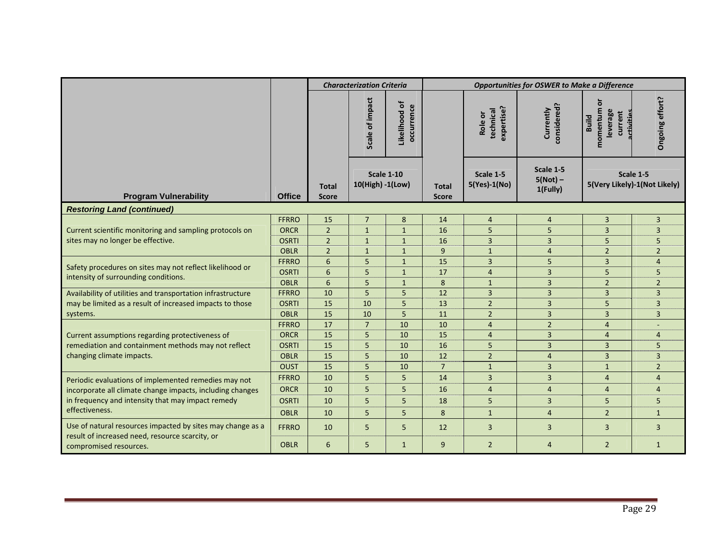|                                                                                              |                             | <b>Characterization Criteria</b><br><b>Opportunities for OSWER to Make a Difference</b> |                                       |                              |                |                                    |                          |                                                                   |                              |                           |                                     |  |                                           |
|----------------------------------------------------------------------------------------------|-----------------------------|-----------------------------------------------------------------------------------------|---------------------------------------|------------------------------|----------------|------------------------------------|--------------------------|-------------------------------------------------------------------|------------------------------|---------------------------|-------------------------------------|--|-------------------------------------------|
|                                                                                              |                             |                                                                                         | impact<br>đ<br>Scale                  | Likelihood of<br>occurrence  |                | expertise?<br>technical<br>Role or | considered?<br>Currently | ō<br>momentum<br>leverage<br>current<br><b>Build</b><br>activitie | Ongoing effort?              |                           |                                     |  |                                           |
| <b>Program Vulnerability</b>                                                                 | <b>Office</b>               | <b>Total</b><br><b>Score</b>                                                            | <b>Scale 1-10</b><br>10(High) -1(Low) |                              |                |                                    |                          |                                                                   | <b>Total</b><br><b>Score</b> | Scale 1-5<br>5(Yes)-1(No) | Scale 1-5<br>$5(Not)$ –<br>1(Fully) |  | Scale 1-5<br>5(Very Likely)-1(Not Likely) |
| <b>Restoring Land (continued)</b>                                                            |                             |                                                                                         |                                       |                              |                |                                    |                          |                                                                   |                              |                           |                                     |  |                                           |
|                                                                                              | <b>FFRRO</b>                | 15                                                                                      | $\overline{7}$                        | 8                            | 14             | $\overline{4}$                     | $\overline{4}$           | 3                                                                 | $\overline{3}$               |                           |                                     |  |                                           |
| Current scientific monitoring and sampling protocols on<br>sites may no longer be effective. | <b>ORCR</b><br><b>OSRTI</b> | $\overline{2}$<br>$\overline{2}$                                                        | $\mathbf{1}$<br>$\mathbf{1}$          | $\mathbf{1}$                 | 16<br>16       | 5<br>$\overline{3}$                | 5<br>$\overline{3}$      | $\overline{3}$<br>5                                               | $\overline{3}$<br>5          |                           |                                     |  |                                           |
|                                                                                              | <b>OBLR</b>                 | $\overline{2}$                                                                          | $\mathbf{1}$                          | $\mathbf{1}$<br>$\mathbf{1}$ | 9              | $\mathbf{1}$                       | $\overline{4}$           | $\overline{2}$                                                    | $\overline{2}$               |                           |                                     |  |                                           |
|                                                                                              | <b>FFRRO</b>                | 6                                                                                       | 5                                     | $\mathbf{1}$                 | 15             | $\overline{3}$                     | 5                        | $\overline{3}$                                                    | $\overline{4}$               |                           |                                     |  |                                           |
| Safety procedures on sites may not reflect likelihood or                                     | <b>OSRTI</b>                | 6                                                                                       | 5                                     | $\mathbf{1}$                 | 17             | $\overline{4}$                     | $\overline{3}$           | 5                                                                 | 5                            |                           |                                     |  |                                           |
| intensity of surrounding conditions.                                                         | <b>OBLR</b>                 | 6                                                                                       | 5                                     | $\mathbf{1}$                 | 8              | $\mathbf{1}$                       | $\overline{3}$           | $\overline{2}$                                                    | $\overline{2}$               |                           |                                     |  |                                           |
| Availability of utilities and transportation infrastructure                                  | <b>FFRRO</b>                | 10                                                                                      | 5                                     | 5                            | 12             | $\overline{3}$                     | $\overline{3}$           | $\overline{3}$                                                    | $\overline{3}$               |                           |                                     |  |                                           |
| may be limited as a result of increased impacts to those                                     | <b>OSRTI</b>                | 15                                                                                      | 10                                    | 5                            | 13             | $\overline{2}$                     | $\overline{3}$           | 5                                                                 | 3                            |                           |                                     |  |                                           |
| systems.                                                                                     | <b>OBLR</b>                 | 15                                                                                      | 10                                    | 5                            | 11             | $\overline{2}$                     | $\overline{3}$           | $\overline{3}$                                                    | $\overline{3}$               |                           |                                     |  |                                           |
|                                                                                              | <b>FFRRO</b>                | 17                                                                                      | $\overline{7}$                        | 10                           | 10             | $\overline{4}$                     | $\overline{2}$           | $\overline{4}$                                                    |                              |                           |                                     |  |                                           |
| Current assumptions regarding protectiveness of                                              | <b>ORCR</b>                 | 15                                                                                      | 5                                     | 10                           | 15             | $\overline{4}$                     | $\mathbf{3}$             | $\overline{4}$                                                    | $\overline{4}$               |                           |                                     |  |                                           |
| remediation and containment methods may not reflect                                          | <b>OSRTI</b>                | 15                                                                                      | 5                                     | 10                           | 16             | 5                                  | $\overline{3}$           | $\overline{3}$                                                    | 5                            |                           |                                     |  |                                           |
| changing climate impacts.                                                                    | <b>OBLR</b>                 | 15                                                                                      | 5                                     | 10                           | 12             | $\overline{2}$                     | $\overline{4}$           | $\overline{3}$                                                    | 3                            |                           |                                     |  |                                           |
|                                                                                              | <b>OUST</b>                 | 15                                                                                      | 5                                     | 10                           | $\overline{7}$ | $\mathbf{1}$                       | $\overline{3}$           | $\overline{1}$                                                    | $\overline{2}$               |                           |                                     |  |                                           |
| Periodic evaluations of implemented remedies may not                                         | <b>FFRRO</b>                | 10                                                                                      | 5                                     | 5                            | 14             | $\overline{3}$                     | $\overline{3}$           | $\overline{4}$                                                    | $\overline{4}$               |                           |                                     |  |                                           |
| incorporate all climate change impacts, including changes                                    | <b>ORCR</b>                 | 10                                                                                      | 5                                     | 5                            | 16             | $\overline{4}$                     | $\overline{4}$           | $\overline{4}$                                                    | $\overline{4}$               |                           |                                     |  |                                           |
| in frequency and intensity that may impact remedy                                            | <b>OSRTI</b>                | 10                                                                                      | 5                                     | 5                            | 18             | 5                                  | 3                        | 5                                                                 | 5                            |                           |                                     |  |                                           |
| effectiveness.                                                                               | <b>OBLR</b>                 | 10                                                                                      | 5                                     | 5                            | 8              | $\mathbf{1}$                       | $\overline{4}$           | $\overline{2}$                                                    | $\mathbf{1}$                 |                           |                                     |  |                                           |
| Use of natural resources impacted by sites may change as a                                   | <b>FFRRO</b>                | 10                                                                                      | 5                                     | 5                            | 12             | $\overline{3}$                     | $\overline{3}$           | $\overline{3}$                                                    | $\overline{3}$               |                           |                                     |  |                                           |
| result of increased need, resource scarcity, or<br>compromised resources.                    | <b>OBLR</b>                 | 6                                                                                       | 5                                     | $\mathbf{1}$                 | 9              | $\overline{2}$                     | $\overline{4}$           | $\overline{2}$                                                    | $\mathbf{1}$                 |                           |                                     |  |                                           |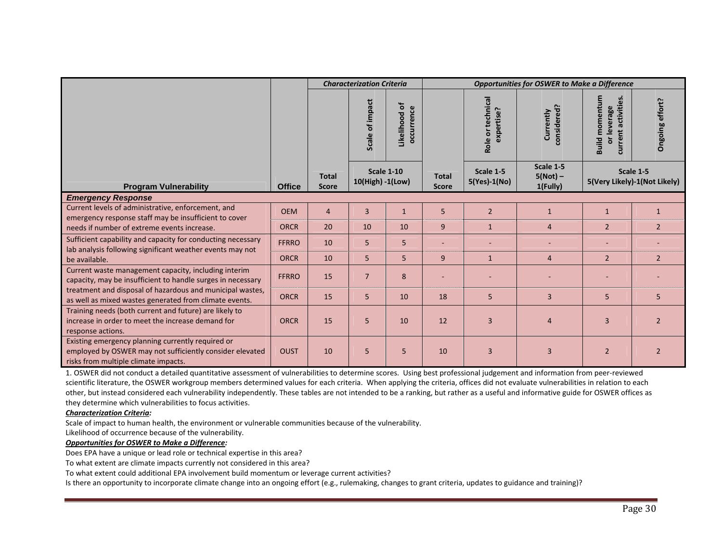|                                                                                                                                                       |               |                              | <b>Characterization Criteria</b> |                               |                              | <b>Opportunities for OSWER to Make a Difference</b> |                                     |                                                                     |                                           |  |
|-------------------------------------------------------------------------------------------------------------------------------------------------------|---------------|------------------------------|----------------------------------|-------------------------------|------------------------------|-----------------------------------------------------|-------------------------------------|---------------------------------------------------------------------|-------------------------------------------|--|
|                                                                                                                                                       |               |                              | Scale of impact                  | ᅙ<br>occurrence<br>Likelihood |                              | Role or technical<br>expertise?                     | onsidered<br>Currently              | Build momentum<br>ctiviti<br>or leverage<br>$\bar{\sigma}$<br>rrent | Ongoing effort?                           |  |
| <b>Program Vulnerability</b>                                                                                                                          | <b>Office</b> | <b>Total</b><br><b>Score</b> | 10(High) -1(Low)                 | <b>Scale 1-10</b>             | <b>Total</b><br><b>Score</b> | Scale 1-5<br>5(Yes)-1(No)                           | Scale 1-5<br>$5(Not)$ –<br>1(Fully) |                                                                     | Scale 1-5<br>5(Very Likely)-1(Not Likely) |  |
| <b>Emergency Response</b>                                                                                                                             |               |                              |                                  |                               |                              |                                                     |                                     |                                                                     |                                           |  |
| Current levels of administrative, enforcement, and<br>emergency response staff may be insufficient to cover                                           | <b>OEM</b>    | $\overline{4}$               | 3                                | $\mathbf{1}$                  | 5                            | $\overline{2}$                                      | $\mathbf{1}$                        | $\mathbf{1}$                                                        | $\mathbf{1}$                              |  |
| needs if number of extreme events increase.                                                                                                           | <b>ORCR</b>   | 20                           | 10                               | 10                            | 9                            | $\mathbf{1}$                                        | $\overline{4}$                      | $\overline{2}$                                                      | $\overline{2}$                            |  |
| Sufficient capability and capacity for conducting necessary<br>lab analysis following significant weather events may not                              | <b>FFRRO</b>  | 10                           | 5                                | 5                             |                              |                                                     |                                     |                                                                     |                                           |  |
| be available.                                                                                                                                         | <b>ORCR</b>   | 10                           | 5                                | 5                             | 9                            | $\mathbf{1}$                                        | $\overline{4}$                      | $\overline{2}$                                                      | $\overline{2}$                            |  |
| Current waste management capacity, including interim<br>capacity, may be insufficient to handle surges in necessary                                   | <b>FFRRO</b>  | 15                           | $\overline{7}$                   | 8                             |                              |                                                     |                                     |                                                                     |                                           |  |
| treatment and disposal of hazardous and municipal wastes,<br>as well as mixed wastes generated from climate events.                                   | <b>ORCR</b>   | 15                           | 5                                | 10                            | 18                           | 5                                                   | $\overline{3}$                      | 5                                                                   | $5\phantom{.}$                            |  |
| Training needs (both current and future) are likely to<br>increase in order to meet the increase demand for<br>response actions.                      | <b>ORCR</b>   | 15                           | 5                                | 10                            | 12                           | 3                                                   | $\overline{4}$                      | 3                                                                   | $\overline{2}$                            |  |
| Existing emergency planning currently required or<br>employed by OSWER may not sufficiently consider elevated<br>risks from multiple climate impacts. | <b>OUST</b>   | 10                           | 5                                | 5                             | 10                           | $\overline{3}$                                      | $\overline{3}$                      | $\overline{2}$                                                      | $\overline{2}$                            |  |

1. OSWER did not conduct <sup>a</sup> detailed quantitative assessment of vulnerabilities to determine scores. Using best professional judgement and information from peer‐reviewed scientific literature, the OSWER workgroup members determined values for each criteria. When applying the criteria, offices did not evaluate vulnerabilities in relation to each other, but instead considered each vulnerability independently. These tables are not intended to be <sup>a</sup> ranking, but rather as <sup>a</sup> useful and informative guide for OSWER offices as they determine which vulnerabilities to focus activities.

#### *Characterization Criteria:*

Scale of impact to human health, the environment or vulnerable communities because of the vulnerability. Likelihood of occurrence because of the vulnerability.

#### *Opportunities for OSWER to Make <sup>a</sup> Difference:*

Does EPA have <sup>a</sup> unique or lead role or technical expertise in this area?

To what extent are climate impacts currently not considered in this area?

To what extent could additional EPA involvement build momentum or leverage current activities?

Is there an opportunity to incorporate climate change into an ongoing effort (e.g., rulemaking, changes to grant criteria, updates to guidance and training)?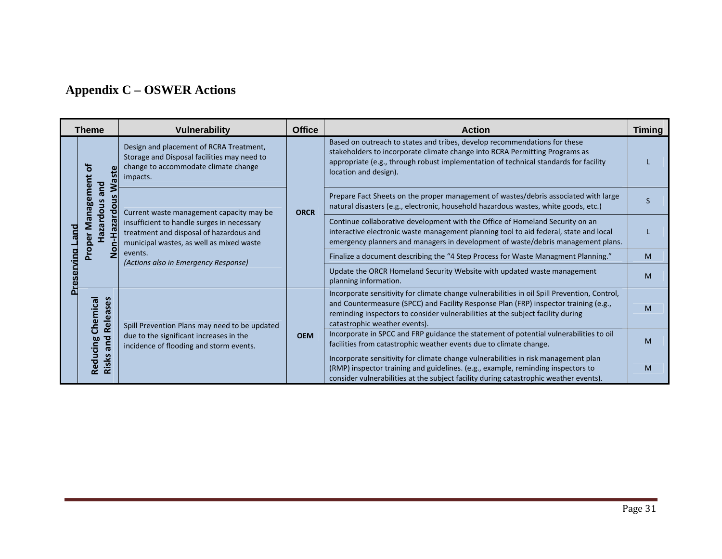# **Appendix C – OSWER Actions**

|     | <b>Theme</b>         | <b>Vulnerability</b>                                                                                                                                                                                                                                                                          | <b>Office</b> | <b>Action</b>                                                                                                                                                                                                                                                                                            | <b>Timing</b> |
|-----|----------------------|-----------------------------------------------------------------------------------------------------------------------------------------------------------------------------------------------------------------------------------------------------------------------------------------------|---------------|----------------------------------------------------------------------------------------------------------------------------------------------------------------------------------------------------------------------------------------------------------------------------------------------------------|---------------|
|     | ㅎ<br><b>Waste</b>    | Design and placement of RCRA Treatment,<br>Storage and Disposal facilities may need to<br>change to accommodate climate change<br>impacts.                                                                                                                                                    |               |                                                                                                                                                                                                                                                                                                          |               |
|     | $\circ$              | Management<br>bue<br>zardous<br>Current waste management capacity may be<br>Non-Hazard<br>insufficient to handle surges in necessary<br>treatment and disposal of hazardous and<br>Proper<br>ā<br>municipal wastes, as well as mixed waste<br>events.<br>(Actions also in Emergency Response) | <b>ORCR</b>   | Prepare Fact Sheets on the proper management of wastes/debris associated with large<br>natural disasters (e.g., electronic, household hazardous wastes, white goods, etc.)                                                                                                                               | S             |
| and |                      |                                                                                                                                                                                                                                                                                               |               | Continue collaborative development with the Office of Homeland Security on an<br>interactive electronic waste management planning tool to aid federal, state and local<br>emergency planners and managers in development of waste/debris management plans.                                               |               |
| ЕŽЕ |                      |                                                                                                                                                                                                                                                                                               |               | Finalize a document describing the "4 Step Process for Waste Managment Planning."                                                                                                                                                                                                                        | M             |
|     |                      |                                                                                                                                                                                                                                                                                               |               | Update the ORCR Homeland Security Website with updated waste management<br>planning information.                                                                                                                                                                                                         | M             |
|     | Releases<br>Chemical | Spill Prevention Plans may need to be updated                                                                                                                                                                                                                                                 |               | Incorporate sensitivity for climate change vulnerabilities in oil Spill Prevention, Control,<br>and Countermeasure (SPCC) and Facility Response Plan (FRP) inspector training (e.g.,<br>reminding inspectors to consider vulnerabilities at the subject facility during<br>catastrophic weather events). | M             |
|     | and                  | due to the significant increases in the<br><b>OEM</b><br>incidence of flooding and storm events.                                                                                                                                                                                              |               | Incorporate in SPCC and FRP guidance the statement of potential vulnerabilities to oil<br>facilities from catastrophic weather events due to climate change.                                                                                                                                             | M             |
|     | Reducing<br>Risks    |                                                                                                                                                                                                                                                                                               |               | Incorporate sensitivity for climate change vulnerabilities in risk management plan<br>(RMP) inspector training and guidelines. (e.g., example, reminding inspectors to<br>consider vulnerabilities at the subject facility during catastrophic weather events).                                          | M             |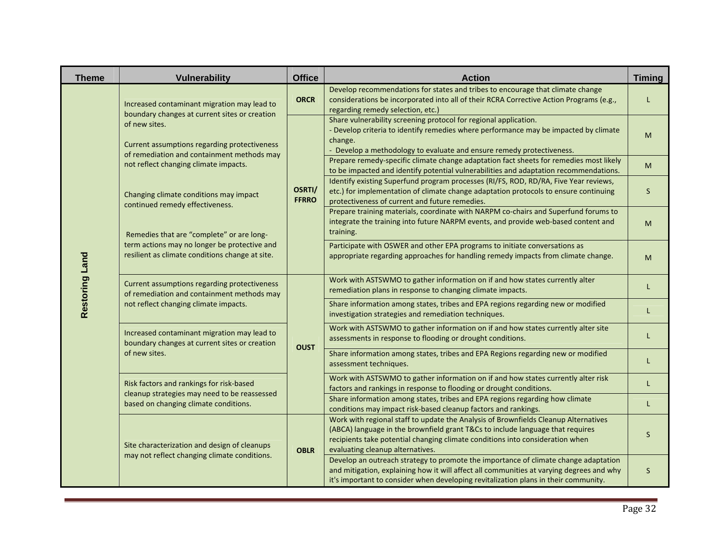| <b>Theme</b>                    |  | <b>Vulnerability</b>                                                                                                                                                                                                                                                                                                                                                              | <b>Office</b>          | <b>Action</b>                                                                                                                                                                                                                                                                                                                                                                                                                                                                                                                                                                                                                                                                                                                                                                                                                                                                                                                           | <b>Timing</b>               |
|---------------------------------|--|-----------------------------------------------------------------------------------------------------------------------------------------------------------------------------------------------------------------------------------------------------------------------------------------------------------------------------------------------------------------------------------|------------------------|-----------------------------------------------------------------------------------------------------------------------------------------------------------------------------------------------------------------------------------------------------------------------------------------------------------------------------------------------------------------------------------------------------------------------------------------------------------------------------------------------------------------------------------------------------------------------------------------------------------------------------------------------------------------------------------------------------------------------------------------------------------------------------------------------------------------------------------------------------------------------------------------------------------------------------------------|-----------------------------|
|                                 |  | Increased contaminant migration may lead to<br>boundary changes at current sites or creation                                                                                                                                                                                                                                                                                      | <b>ORCR</b>            | Develop recommendations for states and tribes to encourage that climate change<br>considerations be incorporated into all of their RCRA Corrective Action Programs (e.g.,<br>regarding remedy selection, etc.)                                                                                                                                                                                                                                                                                                                                                                                                                                                                                                                                                                                                                                                                                                                          | L                           |
|                                 |  | of new sites.<br>Current assumptions regarding protectiveness<br>of remediation and containment methods may<br>not reflect changing climate impacts.<br>Changing climate conditions may impact<br>continued remedy effectiveness.<br>Remedies that are "complete" or are long-<br>term actions may no longer be protective and<br>resilient as climate conditions change at site. | OSRTI/<br><b>FFRRO</b> | Share vulnerability screening protocol for regional application.<br>- Develop criteria to identify remedies where performance may be impacted by climate<br>change.<br>Develop a methodology to evaluate and ensure remedy protectiveness.<br>Prepare remedy-specific climate change adaptation fact sheets for remedies most likely<br>to be impacted and identify potential vulnerabilities and adaptation recommendations.<br>Identify existing Superfund program processes (RI/FS, ROD, RD/RA, Five Year reviews,<br>etc.) for implementation of climate change adaptation protocols to ensure continuing<br>protectiveness of current and future remedies.<br>Prepare training materials, coordinate with NARPM co-chairs and Superfund forums to<br>integrate the training into future NARPM events, and provide web-based content and<br>training.<br>Participate with OSWER and other EPA programs to initiate conversations as | M<br>M<br>$\mathsf{S}$<br>M |
| <b>Land</b><br><b>Restoring</b> |  |                                                                                                                                                                                                                                                                                                                                                                                   |                        | appropriate regarding approaches for handling remedy impacts from climate change.<br>Work with ASTSWMO to gather information on if and how states currently alter<br>remediation plans in response to changing climate impacts.<br>Share information among states, tribes and EPA regions regarding new or modified                                                                                                                                                                                                                                                                                                                                                                                                                                                                                                                                                                                                                     | M<br>L                      |
|                                 |  |                                                                                                                                                                                                                                                                                                                                                                                   |                        | investigation strategies and remediation techniques.<br>Work with ASTSWMO to gather information on if and how states currently alter site<br>assessments in response to flooding or drought conditions.                                                                                                                                                                                                                                                                                                                                                                                                                                                                                                                                                                                                                                                                                                                                 | L<br>L                      |
|                                 |  |                                                                                                                                                                                                                                                                                                                                                                                   |                        | Share information among states, tribes and EPA Regions regarding new or modified<br>assessment techniques.                                                                                                                                                                                                                                                                                                                                                                                                                                                                                                                                                                                                                                                                                                                                                                                                                              | L                           |
|                                 |  | Risk factors and rankings for risk-based<br>cleanup strategies may need to be reassessed<br>based on changing climate conditions.                                                                                                                                                                                                                                                 |                        | Work with ASTSWMO to gather information on if and how states currently alter risk<br>factors and rankings in response to flooding or drought conditions.<br>Share information among states, tribes and EPA regions regarding how climate<br>conditions may impact risk-based cleanup factors and rankings.                                                                                                                                                                                                                                                                                                                                                                                                                                                                                                                                                                                                                              | L<br>L.                     |
|                                 |  | Site characterization and design of cleanups<br>may not reflect changing climate conditions.                                                                                                                                                                                                                                                                                      | <b>OBLR</b>            | Work with regional staff to update the Analysis of Brownfields Cleanup Alternatives<br>(ABCA) language in the brownfield grant T&Cs to include language that requires<br>recipients take potential changing climate conditions into consideration when<br>evaluating cleanup alternatives.                                                                                                                                                                                                                                                                                                                                                                                                                                                                                                                                                                                                                                              | S                           |
|                                 |  |                                                                                                                                                                                                                                                                                                                                                                                   |                        | Develop an outreach strategy to promote the importance of climate change adaptation<br>and mitigation, explaining how it will affect all communities at varying degrees and why<br>it's important to consider when developing revitalization plans in their community.                                                                                                                                                                                                                                                                                                                                                                                                                                                                                                                                                                                                                                                                  | S.                          |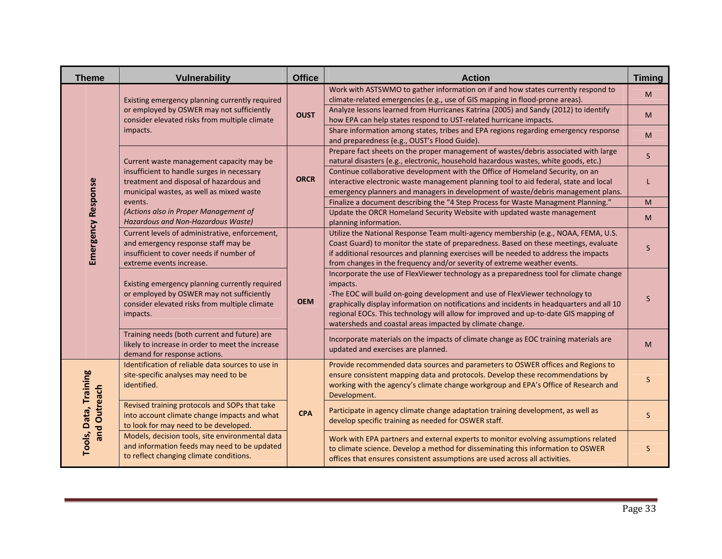| <b>Theme</b>          | Vulnerability                                                                                                                                                                 | <b>Office</b> | <b>Action</b>                                                                                                                                                                                                                                                                                                                                                                                                                                                        | <b>Timing</b> |
|-----------------------|-------------------------------------------------------------------------------------------------------------------------------------------------------------------------------|---------------|----------------------------------------------------------------------------------------------------------------------------------------------------------------------------------------------------------------------------------------------------------------------------------------------------------------------------------------------------------------------------------------------------------------------------------------------------------------------|---------------|
|                       | Existing emergency planning currently required<br>or employed by OSWER may not sufficiently<br>consider elevated risks from multiple climate<br>impacts.                      | <b>OUST</b>   | Work with ASTSWMO to gather information on if and how states currently respond to<br>climate-related emergencies (e.g., use of GIS mapping in flood-prone areas).<br>Analyze lessons learned from Hurricanes Katrina (2005) and Sandy (2012) to identify<br>how EPA can help states respond to UST-related hurricane impacts.<br>Share information among states, tribes and EPA regions regarding emergency response<br>and preparedness (e.g., OUST's Flood Guide). | M<br>M<br>M   |
|                       | Current waste management capacity may be<br>insufficient to handle surges in necessary<br>treatment and disposal of hazardous and<br>municipal wastes, as well as mixed waste |               | Prepare fact sheets on the proper management of wastes/debris associated with large<br>natural disasters (e.g., electronic, household hazardous wastes, white goods, etc.)<br>Continue collaborative development with the Office of Homeland Security, on an<br>interactive electronic waste management planning tool to aid federal, state and local<br>emergency planners and managers in development of waste/debris management plans.                            | S.<br>L.      |
|                       | events.<br>(Actions also in Proper Management of<br>Hazardous and Non-Hazardous Waste)                                                                                        |               | Finalize a document describing the "4 Step Process for Waste Managment Planning."<br>Update the ORCR Homeland Security Website with updated waste management<br>planning information.                                                                                                                                                                                                                                                                                | M<br>M        |
| Emergency Response    | Current levels of administrative, enforcement,<br>and emergency response staff may be<br>insufficient to cover needs if number of<br>extreme events increase.                 |               | Utilize the National Response Team multi-agency membership (e.g., NOAA, FEMA, U.S.<br>Coast Guard) to monitor the state of preparedness. Based on these meetings, evaluate<br>if additional resources and planning exercises will be needed to address the impacts<br>from changes in the frequency and/or severity of extreme weather events.                                                                                                                       | S.            |
|                       | Existing emergency planning currently required<br>or employed by OSWER may not sufficiently<br>consider elevated risks from multiple climate<br>impacts.                      | <b>OEM</b>    | Incorporate the use of FlexViewer technology as a preparedness tool for climate change<br>impacts.<br>-The EOC will build on-going development and use of FlexViewer technology to<br>graphically display information on notifications and incidents in headquarters and all 10<br>regional EOCs. This technology will allow for improved and up-to-date GIS mapping of<br>watersheds and coastal areas impacted by climate change.                                  | $S_{\cdot}$   |
|                       | Training needs (both current and future) are<br>likely to increase in order to meet the increase<br>demand for response actions.                                              |               | Incorporate materials on the impacts of climate change as EOC training materials are<br>updated and exercises are planned.                                                                                                                                                                                                                                                                                                                                           | M             |
| <b>Training</b>       | Identification of reliable data sources to use in<br>site-specific analyses may need to be<br>identified.                                                                     |               | Provide recommended data sources and parameters to OSWER offices and Regions to<br>ensure consistent mapping data and protocols. Develop these recommendations by<br>working with the agency's climate change workgroup and EPA's Office of Research and<br>Development.                                                                                                                                                                                             | S             |
| and Outreach<br>Data, | Revised training protocols and SOPs that take<br>into account climate change impacts and what<br>to look for may need to be developed.                                        | <b>CPA</b>    | Participate in agency climate change adaptation training development, as well as<br>develop specific training as needed for OSWER staff.                                                                                                                                                                                                                                                                                                                             | S             |
| Tools,                | Models, decision tools, site environmental data<br>and information feeds may need to be updated<br>to reflect changing climate conditions.                                    |               | Work with EPA partners and external experts to monitor evolving assumptions related<br>to climate science. Develop a method for disseminating this information to OSWER<br>offices that ensures consistent assumptions are used across all activities.                                                                                                                                                                                                               | S             |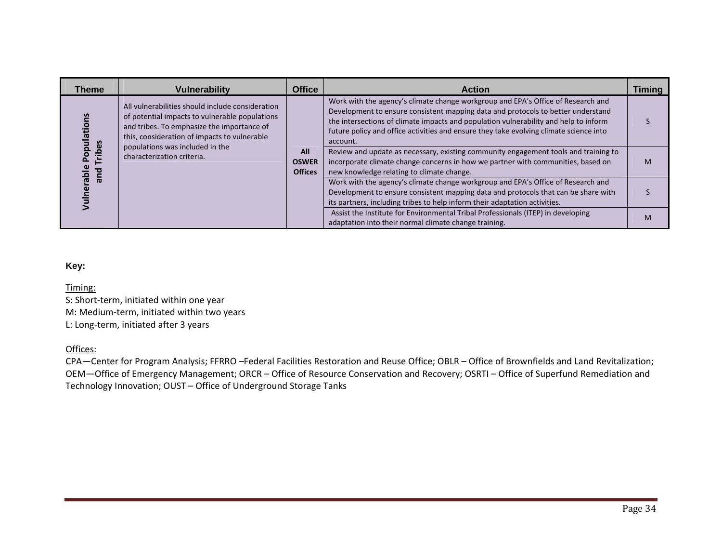| <b>Theme</b>               | <b>Vulnerability</b>                                                                                                                                                                                                                | <b>Office</b>                  | <b>Action</b>                                                                                                                                                                                                                                                                                                                                                                                                                                             | Timing |
|----------------------------|-------------------------------------------------------------------------------------------------------------------------------------------------------------------------------------------------------------------------------------|--------------------------------|-----------------------------------------------------------------------------------------------------------------------------------------------------------------------------------------------------------------------------------------------------------------------------------------------------------------------------------------------------------------------------------------------------------------------------------------------------------|--------|
| n<br>lation:<br>ribes<br>ᇗ | All vulnerabilities should include consideration<br>of potential impacts to vulnerable populations<br>and tribes. To emphasize the importance of<br>this, consideration of impacts to vulnerable<br>populations was included in the | All                            | Work with the agency's climate change workgroup and EPA's Office of Research and<br>Development to ensure consistent mapping data and protocols to better understand<br>the intersections of climate impacts and population vulnerability and help to inform<br>future policy and office activities and ensure they take evolving climate science into<br>account.<br>Review and update as necessary, existing community engagement tools and training to |        |
| ō<br>and                   | characterization criteria.                                                                                                                                                                                                          | <b>OSWER</b><br><b>Offices</b> | incorporate climate change concerns in how we partner with communities, based on<br>new knowledge relating to climate change.                                                                                                                                                                                                                                                                                                                             | M      |
| de<br>Vulne                |                                                                                                                                                                                                                                     |                                | Work with the agency's climate change workgroup and EPA's Office of Research and<br>Development to ensure consistent mapping data and protocols that can be share with<br>its partners, including tribes to help inform their adaptation activities.                                                                                                                                                                                                      |        |
|                            |                                                                                                                                                                                                                                     |                                | Assist the Institute for Environmental Tribal Professionals (ITEP) in developing<br>adaptation into their normal climate change training.                                                                                                                                                                                                                                                                                                                 | M      |

#### **Key:**

Timing:

S: Short‐term, initiated within one year M: Medium‐term, initiated within two years L: Long‐term, initiated after 3 years

Offices:

CPA—Center for Program Analysis; FFRRO –Federal Facilities Restoration and Reuse Office; OBLR – Office of Brownfields and Land Revitalization; OEM—Office of Emergency Management; ORCR – Office of Resource Conservation and Recovery; OSRTI – Office of Superfund Remediation and Technology Innovation; OUST – Office of Underground Storage Tanks